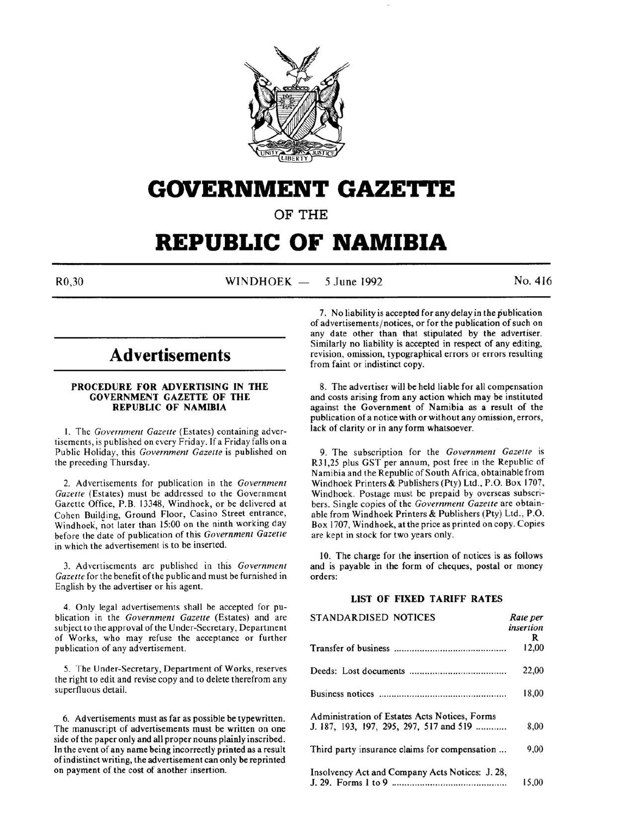

# **GOVERNMENT GAZETTE**

**OF THE** 

# **REPUBLIC OF NAMIBIA**

R0.30 WINDHOEK — 5 June 1992 No. 416

# **Advertisements**

### **PROCEDURE FOR ADVERTISING IN THE GOVERNMENT GAZETTE OF THE REPUBLIC OF NAMIBIA**

I. The *Government Gazelle* (Estates) containing advertisements, is published on every Friday. If a Friday falls on a Public Holiday, this *Government Gazelle* is published on the preceding Thursday.

2. Advertisements for publication in the *Government Gazelle* (Estates) must be addressed to the Government Gazette Office, P.B. 13348, Windhoek, or be delivered at Cohen Building, Ground Floor, Casino Street entrance, Windhoek, not later than 15:00 on the ninth working day before the date of publication of this *Government Gazette*  in which the advertisement is to be inserted.

3. Advertisements are published in this *Government Gazette* for the benefit of the public and must be furnished in English by the advertiser or his agent.

4. Only legal advertisements shall be accepted for publication in the *Government Gazette* (Estates) and are subject to the approval of the Under-Secretary, Department of Works, who may refuse the acceptance or further publication of any advertisement.

*5.* The Under-Secretary, Department of Works, reserves the right to edit and revise copy and to delete therefrom any superfluous detail.

6. Advertisements must as far as possible be typewritten. The manuscript of advertisements must be written on one side of the paper only and all proper nouns plainly inscribed. In the event of any name being incorrectly printed as a result of indistinct writing, the advertisement can only be reprinted on payment of the cost of another insertion.

7. No liability is accepted for any delay in the publication of advertisements/ notices, or for the publication of such on any date other than that stipulated by the advertiser. Similarly no liability is accepted in respect of any editing, revision, omission, typographical errors or errors resulting from faint or indistinct copy.

8. The advertiser will be held liable for all compensation and costs arising from any action which may be instituted against the Government of Namibia as a result of *the*  publication of a notice with or without any omission, errors, lack of clarity or in any form whatsoever.

9. The subscription for the *Government Gazette* is R31,25 plus GST per annum, post free in the Republic of Namibia and the Republic of South Africa, obtainable from Windhoek Printers & Publishers (Pty) Ltd., P.O. Box 1707, Windhoek. Postage must be prepaid by overseas subscribers. Single copies of the *Government Gazette* are obtainable from Windhoek Printers & Publishers (Pty) Ltd., P.O. Box 1707, Windhoek, at the price as printed on copy. Copies are kept in stock for two years only.

10. The charge for the insertion of notices is as follows and is payable in the form of cheques, postal or money orders:

# **LIST OF FIXED TARIFF RATES**

| STANDARDISED NOTICES                            | Rate per<br>insertion |
|-------------------------------------------------|-----------------------|
|                                                 | R                     |
|                                                 | 12,00                 |
|                                                 | 22,00                 |
|                                                 | 18,00                 |
| Administration of Estates Acts Notices, Forms   |                       |
| J. 187, 193, 197, 295, 297, 517 and 519         | 8.00                  |
| Third party insurance claims for compensation   | 9,00                  |
| Insolvency Act and Company Acts Notices: J. 28, |                       |
|                                                 | 15.00                 |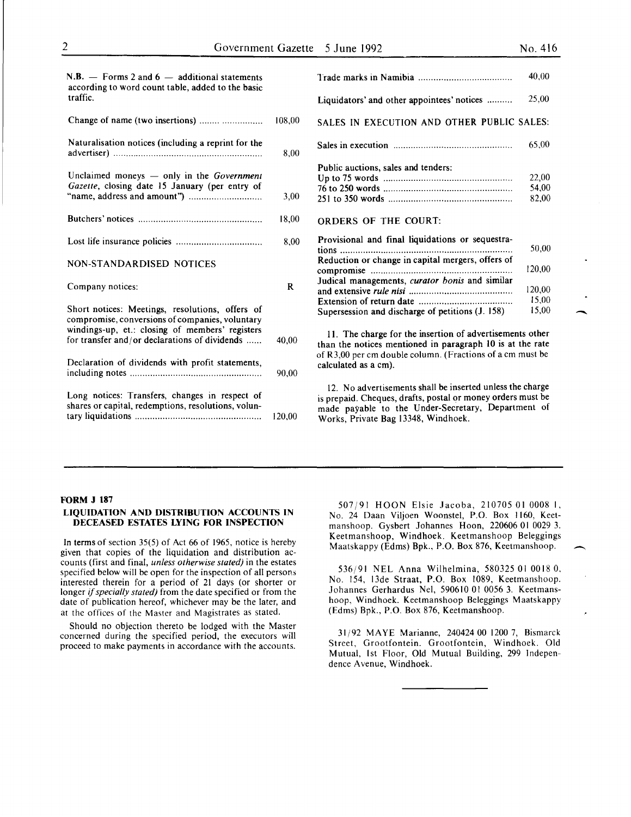.<br>-<br>-

| $N.B.$ – Forms 2 and 6 – additional statements<br>according to word count table, added to the basic   |             |                                                                                                                                                                                                                       | 40.00  |
|-------------------------------------------------------------------------------------------------------|-------------|-----------------------------------------------------------------------------------------------------------------------------------------------------------------------------------------------------------------------|--------|
| traffic.                                                                                              |             | Liquidators' and other appointees' notices                                                                                                                                                                            | 25,00  |
| Change of name (two insertions)                                                                       | 108,00      | SALES IN EXECUTION AND OTHER PUBLIC SALES:                                                                                                                                                                            |        |
| Naturalisation notices (including a reprint for the                                                   | 8.00        |                                                                                                                                                                                                                       | 65,00  |
| Unclaimed moneys - only in the Government                                                             |             | Public auctions, sales and tenders:                                                                                                                                                                                   | 22,00  |
| Gazette, closing date 15 January (per entry of                                                        |             |                                                                                                                                                                                                                       | 54,00  |
|                                                                                                       | 3,00        |                                                                                                                                                                                                                       | 82,00  |
|                                                                                                       | 18,00       | <b>ORDERS OF THE COURT:</b>                                                                                                                                                                                           |        |
|                                                                                                       | 8,00        | Provisional and final liquidations or sequestra-                                                                                                                                                                      | 50,00  |
| NON-STANDARDISED NOTICES                                                                              |             | Reduction or change in capital mergers, offers of                                                                                                                                                                     | 120,00 |
| Company notices:                                                                                      | $\mathbf R$ | Judical managements, curator bonis and similar                                                                                                                                                                        | 120.00 |
|                                                                                                       |             |                                                                                                                                                                                                                       | 15,00  |
| Short notices: Meetings, resolutions, offers of<br>compromise, conversions of companies, voluntary    |             | Supersession and discharge of petitions (J. 158)                                                                                                                                                                      | 15.00  |
| windings-up, et.: closing of members' registers<br>for transfer and/or declarations of dividends      | 40,00       | 11. The charge for the insertion of advertisements other<br>than the notices mentioned in paragraph 10 is at the rate                                                                                                 |        |
| Declaration of dividends with profit statements,                                                      | 90.00       | of R3,00 per cm double column. (Fractions of a cm must be<br>calculated as a cm).                                                                                                                                     |        |
| Long notices: Transfers, changes in respect of<br>shares or capital, redemptions, resolutions, volun- | 120,00      | 12. No advertisements shall be inserted unless the charge<br>is prepaid. Cheques, drafts, postal or money orders must be<br>made payable to the Under-Secretary, Department of<br>Works, Private Bag 13348, Windhoek. |        |

# FORM J 187

#### LIQUIDATION AND DISTRIBUTION ACCOUNTS IN DECEASED ESTATES LYING FOR INSPECTION

In terms of section 35(5) of Act 66 of 1965, notice is hereby given that copies of the liquidation and distribution accounts (first and final, *unless otherwise stated)* in the estates specified below will be open for the inspection of all persons interested therein for a period of 21 days (or shorter or longer if *specially stated)* from the date specified or from the date of publication hereof, whichever may be the later, and at the offices of the Master and Magistrates as stated.

Should no objection thereto be lodged with the Master concerned during the specified period, the executors will proceed to make payments in accordance with the accounts.

507/91 HOON Elsie Jacoba, 210705 01 0008 I, No. 24 Daan Viljoen Woonstel, P.O. Box 1160, Keetmanshoop. Gysbert Johannes Hoon, 220606 01 0029 3. Keetmanshoop, Windhoek. Keetmanshoop Beleggings Maatskappy (Edms) Bpk., P.O. Box 876, Keetmanshoop. -

536/91 NEL Anna Wilhelmina, 580325 01 0018 0, No. 154, 13de Straat, P.O. Box 1089, Keetmanshoop. Johannes Gerhardus Nel, 590610 01 0056 3. Keetmanshoop, Windhoek. Keetmanshoop Beleggings Maatskappy (Edms) Bpk., P.O. Box 876, Keetmanshoop.

31/92 MAYE Marianne, 240424 00 1200 7, Bismarck Street, Grootfontein. Grootfontein, Windhoek. Old Mutual, 1st Floor, Old Mutual Building, 299 Independence Avenue, Windhoek.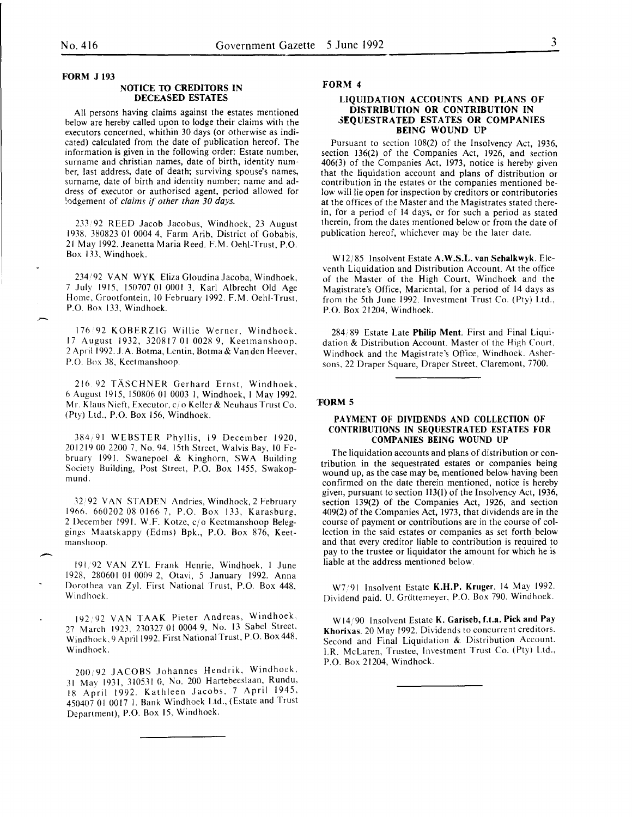$\overline{\phantom{a}}$ 

FORM J 193

# NOTICE TO CREDITORS IN DECEASED ESTATES

All persons having claims against the estates mentioned below are hereby called upon to lodge their claims with the executors concerned, whithin 30 days (or otherwise as indicated) calculated from the date of publication hereof. The information is given in the following order: Estate number, surname and christian names, date of birth, identity number, last address, date of death; surviving spouse's names, surname, date of birth and identity number; name and address of executor or authorised agent, period allowed for ~odgement of *claims* if *other than 30 days.* 

233 92 REED Jacob Jacobus, Windhoek, 23 August 1938. 380823 01 0004 4, Farm Arib, District of Gobabis, 21 May 1992. Jeanetta Maria Reed. F.M. Oehl-Trust, P.O. Box 133, Windhoek.

234192 VAN WYK Eliza Gloudina Jacoba, Windhoek, 7 July 1915, 150707 01 0001 3, Karl Albrecht Old Age Home. Grootfontein, 10 February 1992. F.M. Oehl-Trust, P.O. Box 133, Windhoek.

176 92 KOBERZIG Willie Werner. Windhoek, 17 August 1932, 320817 01 0028 9, Keetmanshoop, 2 April 1992. J.A. Botma, Lentin, Botma & Van den Heever, P.O. Box 38, Keetmanshoop.

216 92 TASCHNER Gerhard Ernst, Windhoek, 6 August 1915, 150806 01 0003 I, Windhoek, I May 1992. Mr. Klaus Nieft, Executor, c/o Keller & Neuhaus Trust Co. (Pty) Ltd., P.O. Box 156, Windhoek.

384; 91 WEBSTER Phyllis, 19 December 1920, 201219 00 2200 7, No. 94, 15th Street, Walvis Bay, 10 February 1991. Swanepoel & Kinghorn, SWA Building Society Building, Post Street, P.O. Box 1455, Swakopmund.

32 92 VAN STADEN Andries, Windhoek, 2 February 1966. 660202 08 0166 7, P.O. Box 133, Karasburg. 2 December 1991. W.F. Kotze, cjo Keetmanshoop Beleggings Maatskappy (Edms) Bpk., P.O. Box 876, Keetrnanshoop.

191 92 VAN ZYL Frank Henrie, Windhoek, I June 1928, 280601 01 0009 2, Otavi, 5 January 1992. Anna Dorothea van Zyl. First National Trust, P.O. Box 448, Windhoek.

192 92 VAN TAAK Pieter Andreas, Windhoek, 27 March 1923, 230327 01 0004 9, No. 13 Sabel Street, Windhoek, 9 April 1992. First National Trust, P.O. Box 448, Windhoek.

200;92 JACOBS Johannes Hendrik, Windhoek, 31 May 1931, 310531 0, No. 200 Hartebeeslaan, Rundu, 18 April 1992. Kathleen Jacobs, 7 April 1945, 450407 01 0017 I. Bank Windhoek Ltd., (Estate and Trust Department), P.O. Box 15, Windhoek.

# FORM 4

#### LIQUIDATION ACCOUNTS AND PLANS OF DISTRIBUTION OR CONTRIBUTION IN 3EQUESTRATED ESTATES OR COMPANIES BEING WOUND UP

Pursuant to section 108(2) of the Insolvency Act, 1936, section 136(2) of the Companies Act, 1926, and section 406(3) of the Companies Act, 1973, notice is hereby given that the liquidation account and plans of distribution or contribution in the estates or the companies mentioned below will lie open for inspection by creditors or contributories at the offices of the Master and the Magistrates stated therein, for a period of 14 days, or for such a period as stated therein, from the dates mentioned below or from the date of publication hereof, whichever may be the later date.

Wl2/85 Insolvent Estate A.W.S.L. van Schalkwyk. Eleventh Liquidation and Distribution Account. At the office of the Master of the High Court, Windhoek and the Magistrate's Office, Mariental, for a period of 14 days as from the 5th June 1992. Investment Trust Co. (Pty) Ltd., P.O. Box 21204, Windhoek.

284189 Estate Late Philip Ment. First and Final Liquidation & Distribution Account. Master of the High Court, Windhoek and the Magistrate's Office, Windhoek. Ashersons, 22 Draper Square, Draper Street, Claremont, 7700.

#### 'FORM 5

### PAYMENT OF DIVIDENDS AND COLLECTION OF CONTRIBUTIONS IN SEQUESTRATED ESTATES FOR COMPANIES BEING WOUND UP

The liquidation accounts and plans of distribution or contribution in the sequestrated estates or companies being wound up, as the case may be, mentioned below having been confirmed on the date therein mentioned, notice is hereby given, pursuant to section 113(1) of the Insolvency Act, 1936, section 139(2) of the Companies Act, 1926, and section 409(2) of the Companies Act, 1973, that dividends are in the course of payment or contributions are in the course of collection in the said estates or companies as set forth below and that every creditor liable to contribution is required to pay to the trustee or liquidator the amount for which he is liable at the address mentioned below.

W7/91 Insolvent Estate K.H.P. Kruger. 14 May 1992. Dividend paid. U. Grüttemeyer, P.O. Box 790, Windhoek.

W14/90 Insolvent Estate K. Gariseb, f.t.a. Pick and Pay Khorixas. 20 May 1992. Dividends to concurrent creditors. Second and Final Liquidation & Distribution Account. I.R. McLaren, Trustee, Investment Trust Co. (Pty) l.td., P.O. Box 21204, Windhoek.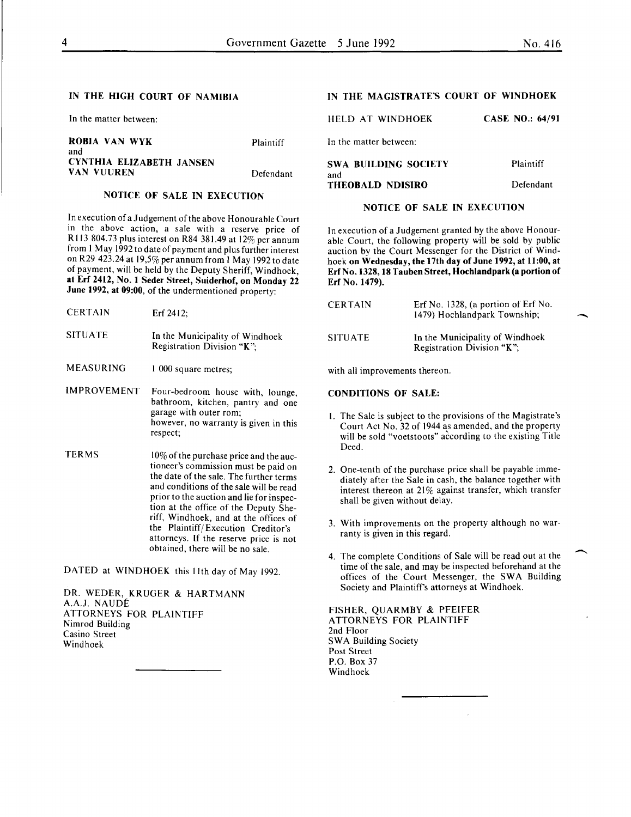-

 $\overline{\phantom{a}}$ 

# IN THE HIGH COURT OF NAMIBIA

In the matter between:

| ROBIA VAN WYK            | Plaintiff |
|--------------------------|-----------|
| and                      |           |
| CYNTHIA ELIZABETH JANSEN |           |
| VAN VUUREN               | Defendant |

# NOTICE OF SALE IN EXECUTION

In execution of a Judgement of the above Honourable Court in the above action, a sale with a reserve price of R 113 804.73 plus interest on R84 381.49 at 12% per annum from I May 1992 to date of payment and plus further interest on R29 423.24 at 19,5% per annum from I May 1992 to date of payment, will be held by the Deputy Sheriff, Windhoek, at Erf 2412, No.1 Seder Street, Suiderhof, on Monday 22 June 1992, at 09:00, of the undermentioned property:

| <b>CERTAIN</b>     | $Erf$ 2412:                                                         |
|--------------------|---------------------------------------------------------------------|
| SITUATE            | In the Municipality of Windhoek<br>Registration Division "K":       |
| MEASURING          | 1 000 square metres;                                                |
| <b>IMPROVEMENT</b> | Four-bedroom house with, lounge,<br>bathroom kitchen pantry and one |

- u, pantry garage with outer rom; however, no warranty is given in this respect;
- TERMS  $10\%$  of the purchase price and the auctioneer's commission must be paid on the date of the sale. The further terms and conditions of the sale will be read prior to the auction and lie for inspection at the office of the Deputy Sheriff, Windhoek, and at the offices of the Plaintiff/ Execution Creditor's attorneys. If the reserve price is not obtained, there will be no sale.

DATED at WINDHOEK this 11th day of May 1992.

DR. WEDER, KRUGER & HARTMANN A.A.J. NAUDE ATTORNEYS FOR PLAINTIFF Nimrod Building Casino Street Windhoek

# IN THE MAGISTRATE'S COURT OF WINDHOEK

| HELD AT WINDHOEK        | <b>CASE NO.: 64/91</b> |
|-------------------------|------------------------|
| In the matter between:  |                        |
| SWA BUILDING SOCIETY    | Plaintiff              |
| and<br>THEOBALD NDISIRO | Defendant              |

#### NOTICE OF SALE IN EXECUTION

In execution of a Judgement granted by the above Honourable Court, the following property will be sold by public auction by the Court Messenger for the District of Windhoek on Wednesday, the 17th day of June 1992, at 11:00, at Erf No. 1328, 18 Tauben Street, Hochlandpark (a portion of Erf No. 1479).

| CERTAIN        | Erf No. $1328$ , (a portion of Erf No.<br>1479) Hochlandpark Township; |
|----------------|------------------------------------------------------------------------|
| <b>SITUATE</b> | In the Municipality of Windhoek<br>Registration Division "K";          |

with all improvements thereon.

# CONDITIONS OF SALE:

THEOBALD NDISIRO

- I. The Sale is subject to the provisions of the Magistrate's Court Act No. 32 of 1944 as amended, and the property will be sold "voetstoots" according to the existing Title Deed.
- 2. One-tenth of the purchase price shall be payable immediately after the Sale in cash, the balance together with interest thereon at  $21\%$  against transfer, which transfer shall be given without delay.
- 3. With improvements on the property although no warranty is given in this regard.
- 4. The complete Conditions of Sale will be read out at the time of the sale, and may be inspected beforehand at the offices of the Court Messenger, the SWA Building Society and Plaintiffs attorneys at Windhoek.

FISHER, QUARMBY & PFEIFER ATTORNEYS FOR PLAINTIFF 2nd Floor SWA Building Society Post Street P.O. Box 37 Windhoek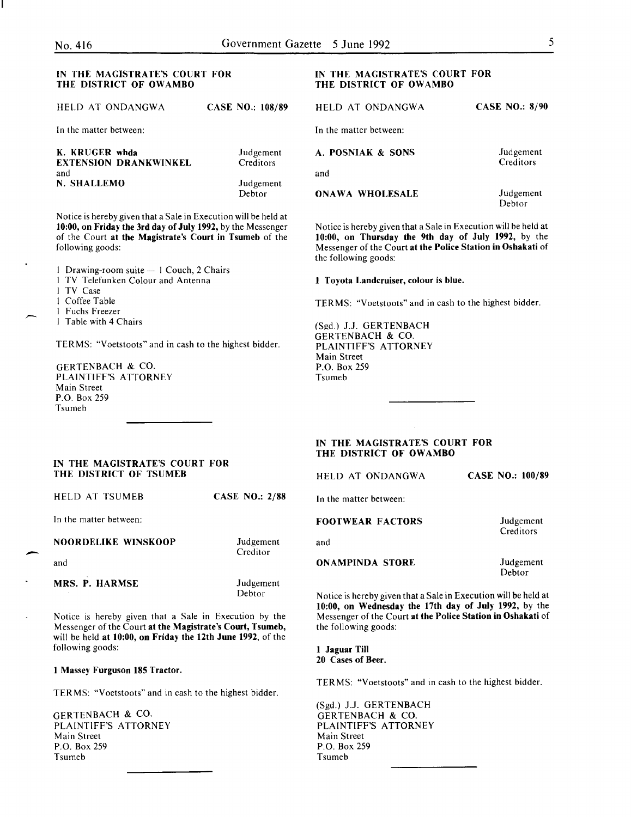### IN THE MAGISTRATE'S COURT FOR THE DISTRICT OF OWAMBO

| HELD AT ONDANGWA                               | <b>CASE NO.: 108/89</b> | HELD AT ONDANGWA       | <b>CASE NO.: 8/90</b>                                               |
|------------------------------------------------|-------------------------|------------------------|---------------------------------------------------------------------|
| In the matter between:                         |                         | In the matter between: |                                                                     |
| K. KRUGER whda<br><b>EXTENSION DRANKWINKEL</b> | Judgement<br>Creditors  | A. POSNIAK & SONS      | Judgement<br>Creditors                                              |
| and                                            |                         | and                    |                                                                     |
| N. SHALLEMO                                    | Judgement               |                        |                                                                     |
|                                                | Debtor                  | <b>ONAWA WHOLESALE</b> | Judgement<br>$\mathbf{D}$ . Experimental in the set of $\mathbf{D}$ |

Notice is hereby given that a Sale in Execution will be held at 10:00, on Friday the 3rd day of July 1992, by the Messenger of the Court at the Magistrate's Court in Tsumeb of the following goods:

| 1 Drawing-room suite — 1 Couch, 2 Chairs |
|------------------------------------------|
| TV Telefunken Colour and Antenna         |
| 1 TV Case                                |
| l Coffee Table                           |
| l Fuchs Freezer                          |
| l Table with 4 Chairs                    |

TERMS: "Voetstoots" and in cash to the highest bidder.

GERTENBACH & CO. PLAINTIFF'S ATTORNEY Main Street P.O. Box 259 Tsumeb

# IN THE MAGISTRATE'S COURT FOR THE DISTRICT OF OWAMBO

| <b>HELD AT ONDANGWA</b> | <b>CASE NO.: 8/90</b>  |
|-------------------------|------------------------|
| In the matter between:  |                        |
| A. POSNIAK & SONS       | Judgement<br>Creditors |
| and                     |                        |

Debtor

Notice is hereby given that a Sale in Execution will be held at 10:00, on Thursday the 9th day of July 1992, by the Messenger of the Court at the Police Station in Oshakati of the following goods:

#### I Toyota Landcruiser, colour is blue.

TERMS: "Voetstoots" and in cash to the highest bidder.

(Sgd.) J.J. GERTENBACH GERTENBACH & CO. PLAINTIFF'S ATTORNEY Main Street P.O. Box 259 Tsumeb

# IN THE MAGISTRATE'S COURT FOR THE DISTRICT OF OWAMBO

HELD AT ONDANGWA CASE NO.: 100/89

In the matter between:

# FOOTWEAR FACTORS

and

ONAMPINDA STORE

Judgement Debtor

Judgement **Creditors** 

Notice is hereby given that a Sale in Execution will be held at 10:00, on Wednesday the 17th day of July 1992, by the Messenger of the Court at the Police Station in Oshakati of the following goods:

I Jaguar Till 20 Cases of Beer.

TERMS: "Voetstoots" and in cash to the highest bidder.

(Sgd.) J.J. GERTENBACH GERTENBACH & CO. PLAINTIFF'S ATTORNEY Main Street P.O. Box 259 Tsumeb

IN THE MAGISTRATE'S COURT FOR THE DISTRICT OF TSUMEB

HELD AT TSUMEB CASE NO.: 2/88

In the matter between:

NOORDELIKE WINSKOOP

and

-

MRS. P. HARMSE

Judgement Debtor

Judgement **Creditor** 

Notice is hereby given that a Sale in Execution by the Messenger of the Court at the Magistrate's Court, Tsumeb, will be held at 10:00, on Friday the 12th June 1992, of the following goods:

I Massey Furguson 185 Tractor.

TERMS: "Voetstoots" and in cash to the highest bidder.

GERTENBACH & CO. PLAINTIFF'S ATTORNEY Main Street P.O. Box 259 Tsumeb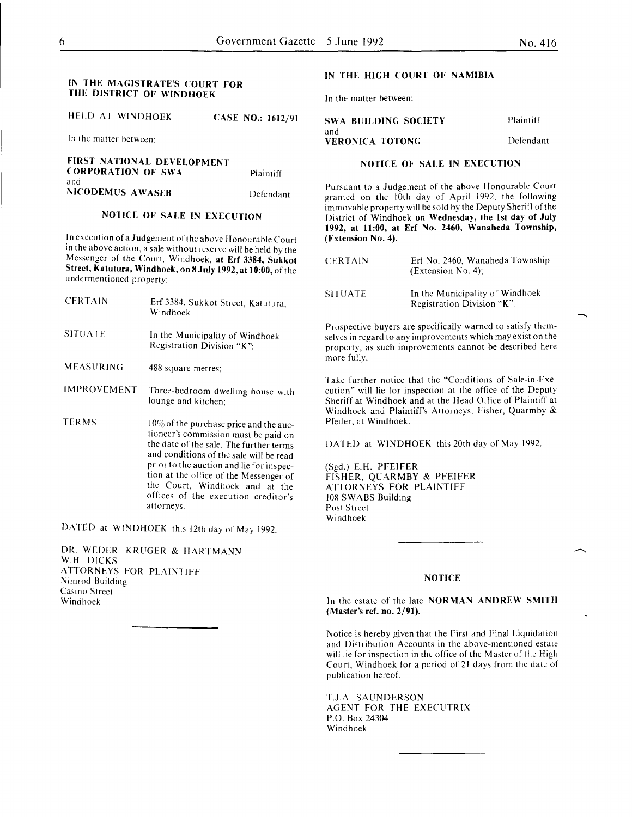### IN THE MAGISTRATE'S COURT FOR THE DISTRICT OF WINDHOEK

HELD AT WINDHOEK CASE NO.: 1612/91

In the matter between:

FIRST NATIONAL DEVELOPMENT **CORPORATION OF SWA** and NICODEMUS AWASEB Plaintiff Defendant

# NOTICE OF SALE IN EXECUTION

In execution of a Judgement of the above Honourable Court in the above action, a sale without reserve will be held by the Messenger of the Court, Windhoek, at Erf 3384, Sukkot Street, Katutura, Windhoek, on 8 July 1992, at 10:00, of the undermentioned property:

- **CERTAIN** Erf 3384, Sukkot Street, Katutura, Windhoek;
- SITUATE In the Municipality of Windhoek Registration Division "K";
- MEASURING 488 square metres;
- IMPROVEMENT Three-bedroom dwelling house with lounge and kitchen;
- TERMS 10% of the purchase price and the auctioneer's commission must be paid on the date of the sale. The further terms and conditions of the sale will be read prior to the auction and lie for inspection at the office of the Messenger of the Court, Windhoek and at the offices of the execution creditor's attorneys.

DATED at WINDHOEK this 12th day of May 1992.

DR. WEDER, KRUGER & HARTMANN W.H. DICKS ATTORNEYS FOR PLAINTIFF Nimrod Building Casino Street Windhoek

### IN THE HIGH COURT OF NAMIBIA

In the matter between:

| <b>SWA BUILDING SOCIETY</b> | Plaintiff |
|-----------------------------|-----------|
| and                         |           |
| VERONICA TOTONG             | Defendant |

# NOTICE OF SALE IN EXECUTION

Pursuant to a Judgement of the above Honourable Court granted on the 10th day of April 1992, the following immovable property will be sold by the Deputy Sheriff of the District of Windhoek on Wednesday, the lst day of July 1992, at ll:OO, at Erf No. 2460, Wanaheda Township, (Extension No.4).

| <b>CERTAIN</b> | Erf No. 2460. Wanaheda Township<br>(Extension No. 4);         |
|----------------|---------------------------------------------------------------|
| <b>SITUATE</b> | In the Municipality of Windhoek<br>Registration Division "K". |

Prospective buyers are specifically warned to satisfy themselves in regard to any improvements which may exist on the property, as such improvements cannot be described here more fully.

Take further notice that the "Conditions of Sale-in-Execution" will lie for inspection at the office of the Deputy Sheriff at Windhoek and at the Head Office of Plaintiff at Windhoek and Plaintiff's Attorneys, Fisher, Quarmby & Pfeifer, at Windhoek.

DATED at WINDHOEK this 20th day of May 1992.

(Sgd.) E.H. PFEIFER FISHER, QUARMBY & PFEIFER ATTORNEYS FOR PLAINTIFF 108 SWABS Building Post Street Windhoek

#### **NOTICE**

In the estate of the late NORMAN ANDREW SMITH (Master's ref. no. 2/91).

Notice is hereby given that the First and Final Liquidation and Distribution Accounts in the above-mentioned estate will lie for inspection in the office of the Master of the High Court, Windhoek for a period of 21 days from the date of publication hereof.

T.J.A. SAUNDERSON AGENT FOR THE EXECUTRIX P.O. Box 24304 Windhoek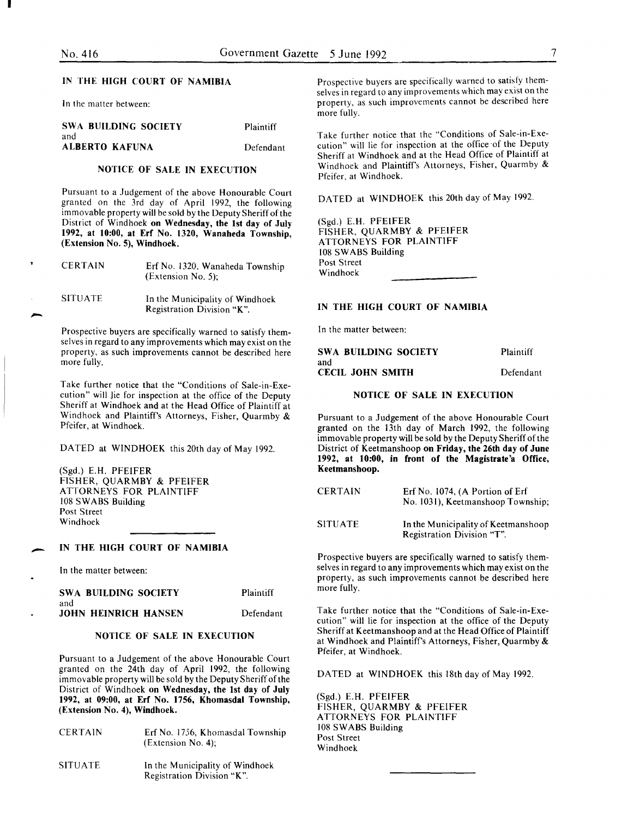I

-

-

| <b>SWA BUILDING SOCIETY</b><br>and | Plaintiff |
|------------------------------------|-----------|
| ALBERTO KAFUNA                     | Defendant |

# NOTICE OF SALE IN EXECUTION

Pursuant to a Judgement of the above Honourable Court granted on the 3rd day of April 1992, the following immovable property will be sold by the Deputy Sheriff of the District of Windhoek on Wednesday, the 1st day of July 1992, at 10:00, at Erf No. 1320, Wanaheda Township, (Extension No. 5), Windhoek.

| <b>CERTAIN</b> | Erf No. 1320, Wanaheda Township<br>(Extension No. 5);         |
|----------------|---------------------------------------------------------------|
| <b>SITUATE</b> | In the Municipality of Windhoek<br>Registration Division "K". |

Prospective buyers are specifically warned to satisfy themselves in regard to any improvements which may exist on the property, as such improvements cannot be described here more fully.

Take further notice that the "Conditions of Sale-in-Execution" will Jie for inspection at the office of the Deputy Sheriff at Windhoek and at the Head Office of Plaintiff at Windhoek and Plaintiff's Attorneys, Fisher, Quarmby & Pfeifer, at Windhoek.

DATED at WINDHOEK this 20th day of May 1992.

(Sgd.) E.H. PFEIFER FISHER, QUARMBY & PFEIFER ATTORNEYS FOR PLAINTIFF 108 SWABS Building Post Street Windhoek

### IN THE HIGH COURT OF NAMIBIA

In the matter between:

| SWA BUILDING SOCIETY        | Plaintiff |
|-----------------------------|-----------|
| and                         |           |
| <b>JOHN HEINRICH HANSEN</b> | Defendant |

# NOTICE OF SALE IN EXECUTION

Pursuant to a Judgement of the above Honourable Court granted on the 24th day of April 1992, the following immovable property will be sold by the Deputy Sheriff of the District of Windhoek on Wednesday, the 1st day of July 1992, at 09:00, at Erf No. 1756, Khomasdal Township, (Extension No. 4), Windhoek.

| <b>CERTAIN</b> | Erf No. 1756, Khomasdal Township<br>$(Extension No. 4)$ ;     |
|----------------|---------------------------------------------------------------|
| <b>SITUATE</b> | In the Municipality of Windhoek<br>Registration Division "K". |

IN THE HIGH COURT OF NAMIBIA Prospective buyers are specifically warned to satisfy themselves in regard to any improvements which may exist on the In the matter between: property, as such improvements cannot be described here more fully.

> Take further notice that the "Conditions of Sale-in-Execution" will lie for inspection at the office of the Deputy Sheriff at Windhoek and at the Head Office of Plaintiff at Windhoek and Plaintiff's Attorneys, Fisher, Quarmby & Pfeifer, at Windhoek.

DATED at WINDHOEK this 20th day of May 1992.

(Sgd.) E.H. PFEIFER FISHER, QUARMBY & PFEIFER ATTORNEYS FOR PLAINTIFF 108 SWABS Building Post Street Windhoek

#### IN THE HIGH COURT OF NAMIBIA

In the matter between:

| SWA BUILDING SOCIETY    | Plaintiff |
|-------------------------|-----------|
| and                     |           |
| <b>CECIL JOHN SMITH</b> | Defendant |

#### NOTICE OF SALE IN EXECUTION

Pursuant to a Judgement of the above Honourable Court granted on the 13th day of March 1992, the following immovable property will be sold by the Deputy Sheriff of the District of Keetmanshoop on Friday, the 26th day of June 1992, at 10:00, in front of the Magistrate'a Office, Keetmanshoop.

| <b>CERTAIN</b> | Erf No. 1074, (A Portion of Erf<br>No. 1031), Keetmanshoop Township; |
|----------------|----------------------------------------------------------------------|
| <b>SITUATE</b> | In the Municipality of Keetmanshoop<br>Registration Division "T".    |

Prospective buyers are specifically warned to satisfy themselves in regard to any improvements which may exist on the property, as such improvements cannot be described here more fully.

Take further notice that the "Conditions of Sale-in-Execution" will lie for inspection at the office of the Deputy Sheriff at Keetmanshoop and at the Head Office of Plaintiff at Windhoek and Plaintiff's Attorneys, Fisher, Quarmby & Pfeifer, at Windhoek.

DATED at WINDHOEK this 18th day of May 1992.

(Sgd.) E.H. PFEIFER FISHER, QUARMBY & PFEIFER ATTORNEYS FOR PLAINTIFF 108 SWABS Building Post Street Windhoek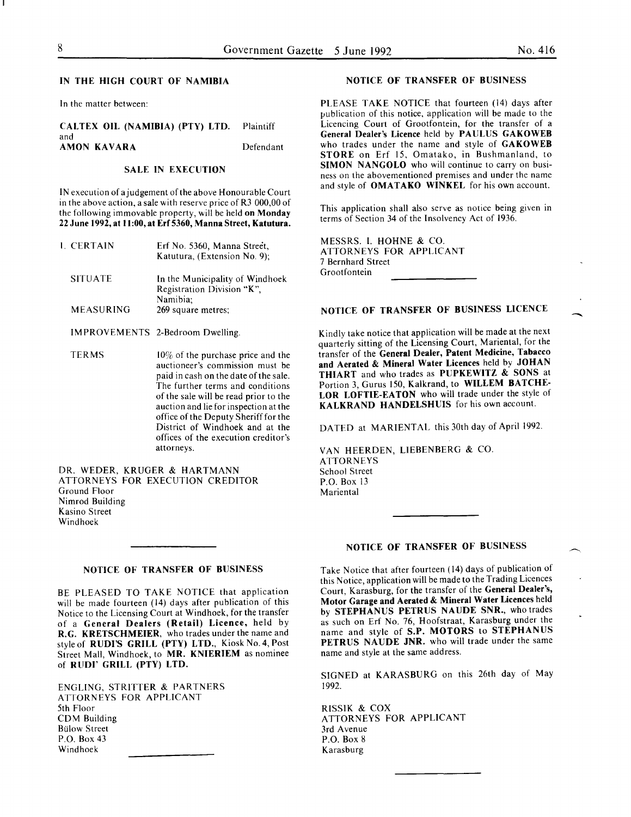-<br>-<br>-

#### IN THE HIGH COURT OF NAMIBIA

In the matter between:

#### CALTEX OIL (NAMIBIA) (PTY) LTD. Plaintiff and AMON KAVARA Defendant

### SALE IN EXECUTION

IN execution of a judgement of the above Honourable Court in the above action, a sale with reserve price of R3 000,00 of the following immovable property, will be held on Monday 22 June 1992, at 11:00, at Erf 5360, Manna Street, Katutura.

| I. CERTAIN       | Erf No. 5360, Manna Street,<br>Katutura, (Extension No. 9);   |
|------------------|---------------------------------------------------------------|
| <b>SITUATE</b>   | In the Municipality of Windhoek<br>Registration Division "K", |
| <b>MEASURING</b> | Namibia:<br>269 square metres;                                |

IMPROVEMENTS 2-Bedroom Dwelling.

TERMS  $10\%$  of the purchase price and the auctioneer's commission must be paid in cash on the date of the sale. The further terms and conditions of the sale will be read prior to the auction and lie for inspection at the office of the Deputy Sheriff for the District of Windhoek and at the offices of the execution creditor's attorneys.

DR. WEDER, KRUGER & HARTMANN ATTORNEYS FOR EXECUTION CREDITOR Ground Floor Nimrod Building Kasino Street Windhoek

#### NOTICE OF TRANSFER OF BUSINESS

BE PLEASED TO TAKE NOTICE that application will be made fourteen (14) days after publication of this Notice to the Licensing Court at Windhoek, for the transfer of a General Dealers (Retail) Licence, held by R.G. KRETSCHMEIER, who trades under the name and style of RUDI'S GRILL (PTY) LTD., Kiosk No.4, Post Street Mall, Windhoek, to MR. KNIERIEM as nominee of RUDI' GRILL (PTY) LTD.

ENGLING, STRITTER & PARTNERS ATTORNEYS FOR APPLICANT 5th Floor CDM Building **Bulow Street** P.O. Box 43 Windhoek

#### NOTICE OF TRANSFER OF BUSINESS

PLEASE TAKE NOTICE that fourteen (14) days after publication of this notice, application will be made to the Licencing Court of Grootfontein, for the transfer of a General Dealer's Licence held by PAULUS GAKOWEB who trades under the name and style of GAKOWEB STORE on Erf 15, Omatako, in Bushmanland, to SIMON NANGOLO who will continue to carry on business on the abovementioned premises and under the name and style of **OMATAKO** WINKEL for his own account.

This application shall also serve as notice being given in terms of Section 34 of the Insolvency Act of 1936.

MESSRS. I. HOHNE & CO. ATTORNEYS FOR APPLICANT 7 Bernhard Street Grootfontein

# NOTICE OF TRANSFER OF BUSINESS LICENCE

Kindly take notice that application will be made at the next quarterly sitting of the Licensing Court, Mariental, for the transfer of the General Dealer, Patent Medicine, Tabacco and Aerated & Mineral Water Licences held by JOHAN THIART and who trades as PUPKEWITZ & SONS at Portion 3, Gurus 150, Kalkrand, to WILLEM BATCHE-LOR LOFTIE-EATON who will trade under the style of KALKRAND HANDELSHUIS for his own account.

DATED at MARIENTAL this 30th day of April 1992.

VAN HEERDEN, LIESENBERG & CO. **ATTORNEYS** School Street P.O. Box 13 Mariental

#### NOTICE OF TRANSFER OF BUSINESS

Take Notice that after fourteen ( 14) days of publication of this Notice, application will be made to the Trading Licences Court, Karasburg, for the transfer of the General Dealer's, Motor Garage and Aerated & Mineral Water Licences held by STEPHANUS PETRUS NAUDE SNR., who trades as such on Erf No. 76, Hoofstraat, Karasburg under the name and style of S.P. MOTORS to STEPHANUS PETRUS NAUDE JNR. who will trade under the same name and style at the same address.

SIGNED at KARASBURG on this 26th day of May 1992.

RISSIK & COX ATTORNEYS FOR APPLICANT 3rd Avenue P.O. Box 8 **Karasburg**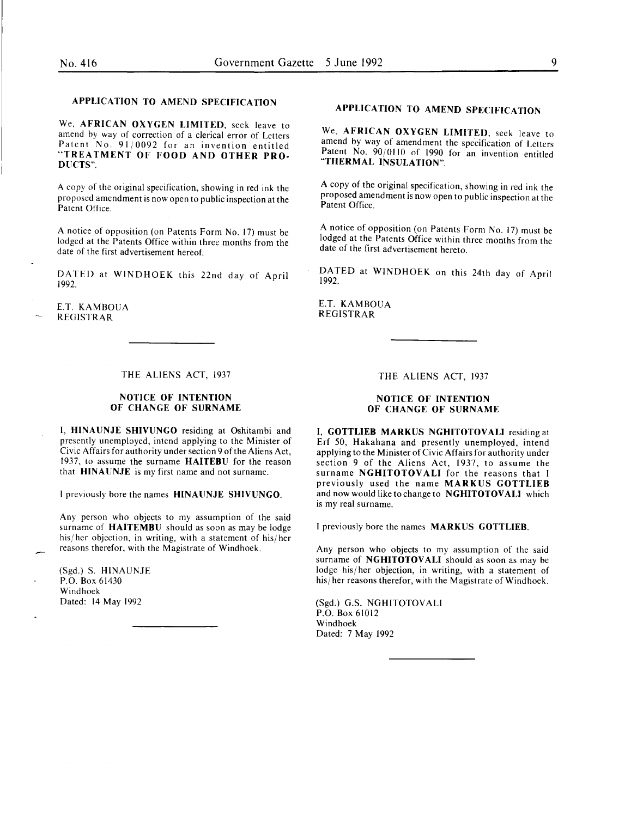# APPLICATION TO AMEND SPECIFICATION

We, AFRICAN OXYGEN LIMITED, seek leave to amend by way of correction of a clerical error of Letters Patent No. 91/0092 for an invention entitled "TREATMENT OF FOOD AND OTHER PRO-DUCTS".

A copy of the original specification, showing in red ink the proposed amendment is now open to public inspection at the Patent Office.

A notice of opposition (on Patents Form No. 17) must be lodged at the Patents Office within three months from the date of the first advertisement hereof.

DATED at WINDHOEK this 22nd day of April 1992.

E.T. KAMBOUA REGISTRAR

# THE ALIENS ACT, 1937

# NOTICE OF INTENTION OF CHANGE OF SURNAME

I, HINAUNJE SHIVUNGO residing at Oshitambi and presently unemployed, intend applying to the Minister of Civic Affairs for authority under section 9 of the Aliens Act, 1937, to assume the surname HAITEBU for the reason that HINAUNJE is my first name and not surname.

l previously bore the names HINAUNJE SHIVUNGO.

Any person who objects to my assumption of the said surname of **HAITEMBU** should as soon as may be lodge his/ her objection, in writing, with a statement of his/ her reasons therefor, with the Magistrate of Windhoek.

(Sgd.) S. HINAUNJE P.O. Box 61430 Windhoek Dated: 14 May 1992

# APPLICATION TO AMEND SPECIFICATION

We, AFRICAN OXYGEN LIMITED, seek leave to amend by way of amendment the specification of Letters Patent No. 90/0110 of 1990 for an invention entitled "THERMAL INSULATION".

A copy of the original specification, showing in red ink the proposed amendment is now open to public inspection at the Patent Office.

A notice of opposition (on Patents Form No. 17) must be lodged at the Patents Office within three months from the date of the first advertisement hereto.

DATED at WINDHOEK on this 24th day of April 1992.

E.T. KAMBOUA REGISTRAR

THE ALIENS ACT, 1937

# NOTICE OF INTENTION OF CHANGE OF SURNAME

I, GOTTLIEB MARKUS NGHITOTOVALI residing at Erf 50, Hakahana and presently unemployed, intend applying to the Minister of Civic Affairs for authority under section 9 of the Aliens Act, 1937, to assume the surname NGHITOTOVALI for the reasons that I previously used the name MARKUS GOTTLIEB and now would like to change to NGHITOTOVALI which is my real surname.

I previously bore the names MARKUS GOTTLIEB.

Any person who objects to my assumption of the said surname of NGHITOTOVALI should as soon as may be lodge his/ her objection, in writing, with a statement of his/ her reasons therefor, with the Magistrate of Windhoek.

(Sgd.) G.S. NGHITOTOVALI P.O. Box 61012 Windhoek Dated: 7 May 1992